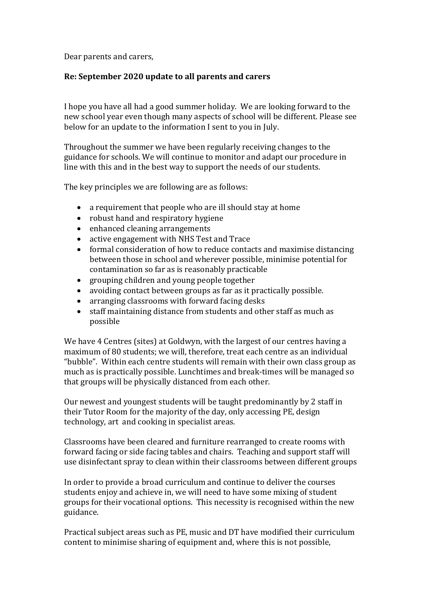Dear parents and carers,

## **Re: September 2020 update to all parents and carers**

I hope you have all had a good summer holiday. We are looking forward to the new school year even though many aspects of school will be different. Please see below for an update to the information I sent to you in July.

Throughout the summer we have been regularly receiving changes to the guidance for schools. We will continue to monitor and adapt our procedure in line with this and in the best way to support the needs of our students.

The key principles we are following are as follows:

- a requirement that people who are ill should stay at home
- robust hand and respiratory hygiene
- enhanced cleaning arrangements
- active engagement with NHS Test and Trace
- formal consideration of how to reduce contacts and maximise distancing between those in school and wherever possible, minimise potential for contamination so far as is reasonably practicable
- grouping children and young people together
- avoiding contact between groups as far as it practically possible.
- arranging classrooms with forward facing desks
- staff maintaining distance from students and other staff as much as possible

We have 4 Centres (sites) at Goldwyn, with the largest of our centres having a maximum of 80 students; we will, therefore, treat each centre as an individual "bubble". Within each centre students will remain with their own class group as much as is practically possible. Lunchtimes and break-times will be managed so that groups will be physically distanced from each other.

Our newest and youngest students will be taught predominantly by 2 staff in their Tutor Room for the majority of the day, only accessing PE, design technology, art and cooking in specialist areas.

Classrooms have been cleared and furniture rearranged to create rooms with forward facing or side facing tables and chairs. Teaching and support staff will use disinfectant spray to clean within their classrooms between different groups

In order to provide a broad curriculum and continue to deliver the courses students enjoy and achieve in, we will need to have some mixing of student groups for their vocational options. This necessity is recognised within the new guidance.

Practical subject areas such as PE, music and DT have modified their curriculum content to minimise sharing of equipment and, where this is not possible,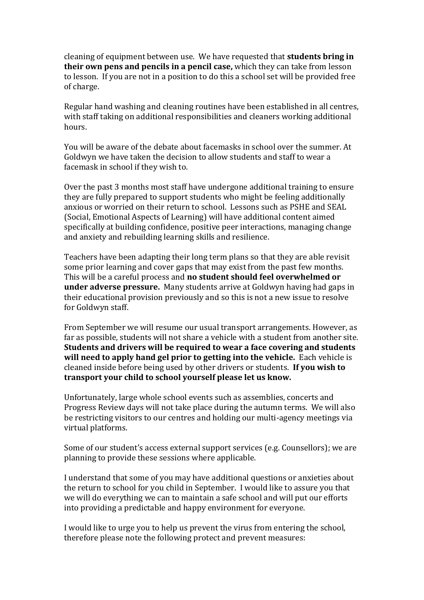cleaning of equipment between use. We have requested that **students bring in their own pens and pencils in a pencil case,** which they can take from lesson to lesson. If you are not in a position to do this a school set will be provided free of charge.

Regular hand washing and cleaning routines have been established in all centres, with staff taking on additional responsibilities and cleaners working additional hours.

You will be aware of the debate about facemasks in school over the summer. At Goldwyn we have taken the decision to allow students and staff to wear a facemask in school if they wish to.

Over the past 3 months most staff have undergone additional training to ensure they are fully prepared to support students who might be feeling additionally anxious or worried on their return to school. Lessons such as PSHE and SEAL (Social, Emotional Aspects of Learning) will have additional content aimed specifically at building confidence, positive peer interactions, managing change and anxiety and rebuilding learning skills and resilience.

Teachers have been adapting their long term plans so that they are able revisit some prior learning and cover gaps that may exist from the past few months. This will be a careful process and **no student should feel overwhelmed or under adverse pressure.** Many students arrive at Goldwyn having had gaps in their educational provision previously and so this is not a new issue to resolve for Goldwyn staff.

From September we will resume our usual transport arrangements. However, as far as possible, students will not share a vehicle with a student from another site. **Students and drivers will be required to wear a face covering and students will need to apply hand gel prior to getting into the vehicle.** Each vehicle is cleaned inside before being used by other drivers or students. **If you wish to transport your child to school yourself please let us know.**

Unfortunately, large whole school events such as assemblies, concerts and Progress Review days will not take place during the autumn terms. We will also be restricting visitors to our centres and holding our multi-agency meetings via virtual platforms.

Some of our student's access external support services (e.g. Counsellors); we are planning to provide these sessions where applicable.

I understand that some of you may have additional questions or anxieties about the return to school for you child in September. I would like to assure you that we will do everything we can to maintain a safe school and will put our efforts into providing a predictable and happy environment for everyone.

I would like to urge you to help us prevent the virus from entering the school, therefore please note the following protect and prevent measures: